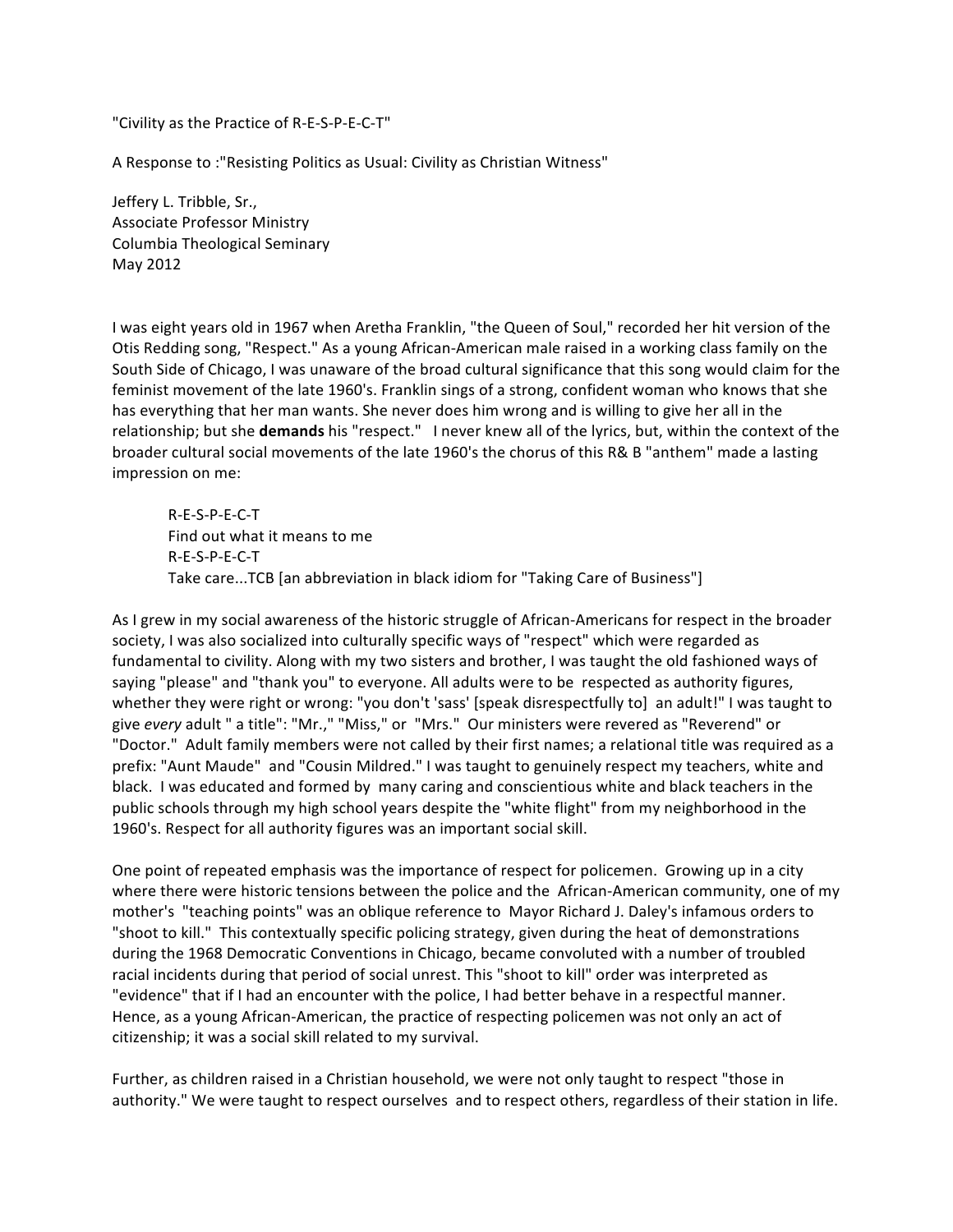"Civility
as
the
Practice
of
R‐E‐S‐P‐E‐C‐T"

A Response to : "Resisting Politics as Usual: Civility as Christian Witness"

Jeffery
L.
Tribble,
Sr., Associate
Professor
Ministry Columbia
Theological
Seminary May
2012

I was eight years old in 1967 when Aretha Franklin, "the Queen of Soul," recorded her hit version of the Otis Redding song, "Respect." As a young African-American male raised in a working class family on the South Side of Chicago, I was unaware of the broad cultural significance that this song would claim for the feminist movement of the late 1960's. Franklin sings of a strong, confident woman who knows that she has everything that her man wants. She never does him wrong and is willing to give her all in the relationship; but she **demands** his "respect." I never knew all of the lyrics, but, within the context of the broader cultural social movements of the late 1960's the chorus of this R& B "anthem" made a lasting impression
on
me:

R‐E‐S‐P‐E‐C‐T Find
out
what
it
means
to
me R‐E‐S‐P‐E‐C‐T Take care...TCB [an abbreviation in black idiom for "Taking Care of Business"]

As I grew in my social awareness of the historic struggle of African-Americans for respect in the broader society, I was also socialized into culturally specific ways of "respect" which were regarded as fundamental to civility. Along with my two sisters and brother, I was taught the old fashioned ways of saying "please" and "thank you" to everyone. All adults were to be respected as authority figures, whether they were right or wrong: "you don't 'sass' [speak disrespectfully to] an adult!" I was taught to give every adult " a title": "Mr.," "Miss," or "Mrs." Our ministers were revered as "Reverend" or "Doctor." Adult family members were not called by their first names; a relational title was required as a prefix: "Aunt Maude" and "Cousin Mildred." I was taught to genuinely respect my teachers, white and black. I was educated and formed by many caring and conscientious white and black teachers in the public schools through my high school years despite the "white flight" from my neighborhood in the 1960's. Respect for all authority figures was an important social skill.

One point of repeated emphasis was the importance of respect for policemen. Growing up in a city where there were historic tensions between the police and the African-American community, one of my mother's "teaching points" was an oblique reference to Mayor Richard J. Daley's infamous orders to "shoot to kill." This contextually specific policing strategy, given during the heat of demonstrations during the 1968 Democratic Conventions in Chicago, became convoluted with a number of troubled racial incidents during that period of social unrest. This "shoot to kill" order was interpreted as "evidence" that if I had an encounter with the police, I had better behave in a respectful manner. Hence, as a young African-American, the practice of respecting policemen was not only an act of citizenship;
it
was
a
social
skill
related
to
my
survival.

Further, as children raised in a Christian household, we were not only taught to respect "those in authority." We were taught to respect ourselves and to respect others, regardless of their station in life.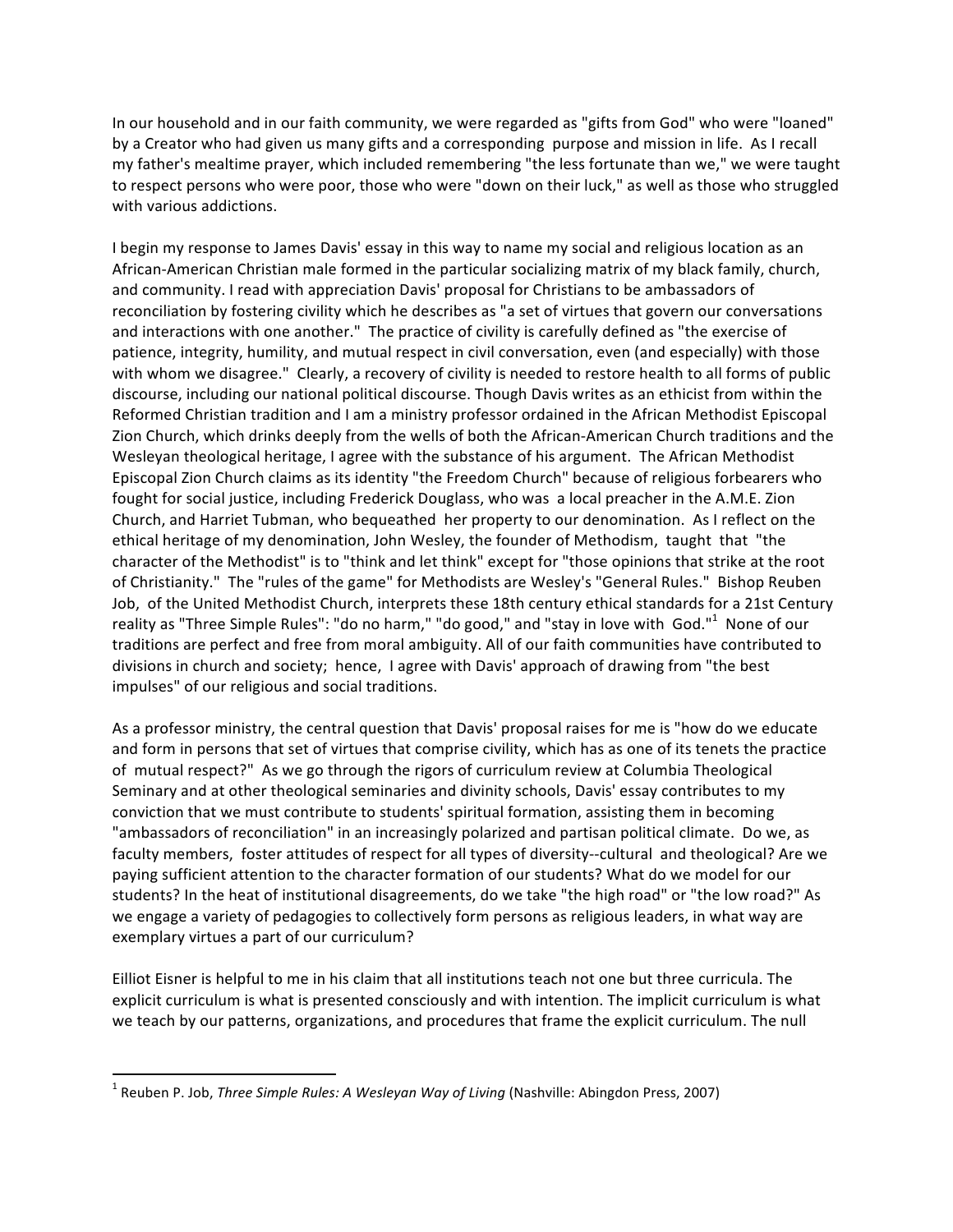In
our
household
and
in
our
faith
community,
we
were
regarded
as
"gifts
from
God"
who
were
"loaned" by a Creator who had given us many gifts and a corresponding purpose and mission in life. As I recall my father's mealtime prayer, which included remembering "the less fortunate than we," we were taught to respect persons who were poor, those who were "down on their luck," as well as those who struggled with
various
addictions.

I begin my response to James Davis' essay in this way to name my social and religious location as an African-American Christian male formed in the particular socializing matrix of my black family, church, and community. I read with appreciation Davis' proposal for Christians to be ambassadors of reconciliation by fostering civility which he describes as "a set of virtues that govern our conversations and interactions with one another." The practice of civility is carefully defined as "the exercise of patience, integrity, humility, and mutual respect in civil conversation, even (and especially) with those with whom we disagree." Clearly, a recovery of civility is needed to restore health to all forms of public discourse, including our national political discourse. Though Davis writes as an ethicist from within the Reformed Christian tradition and I am a ministry professor ordained in the African Methodist Episcopal Zion Church, which drinks deeply from the wells of both the African-American Church traditions and the Wesleyan theological heritage, I agree with the substance of his argument. The African Methodist Episcopal Zion Church claims as its identity "the Freedom Church" because of religious forbearers who fought for social justice, including Frederick Douglass, who was a local preacher in the A.M.E. Zion Church, and Harriet Tubman, who bequeathed her property to our denomination. As I reflect on the ethical heritage of my denomination, John Wesley, the founder of Methodism, taught that "the character
of
the
Methodist"
is
to
"think
and
let
think"
except
for
"those
opinions
that
strike
at
the
root of Christianity." The "rules of the game" for Methodists are Wesley's "General Rules." Bishop Reuben Job, of the United Methodist Church, interprets these 18th century ethical standards for a 21st Century reality as "Three Simple Rules": "do no harm," "do good," and "stay in love with God."<sup>1</sup> None of our traditions are perfect and free from moral ambiguity. All of our faith communities have contributed to divisions in church and society; hence, I agree with Davis' approach of drawing from "the best impulses"
of
our
religious
and
social
traditions.

As a professor ministry, the central question that Davis' proposal raises for me is "how do we educate and form in persons that set of virtues that comprise civility, which has as one of its tenets the practice of mutual respect?" As we go through the rigors of curriculum review at Columbia Theological Seminary and at other theological seminaries and divinity schools, Davis' essay contributes to my conviction
that
we
must
contribute
to
students'
spiritual
formation,
assisting
them
in
becoming "ambassadors of reconciliation" in an increasingly polarized and partisan political climate. Do we, as faculty members, foster attitudes of respect for all types of diversity--cultural and theological? Are we paying sufficient attention to the character formation of our students? What do we model for our students? In the heat of institutional disagreements, do we take "the high road" or "the low road?" As we engage a variety of pedagogies to collectively form persons as religious leaders, in what way are exemplary
virtues
a
part
of
our
curriculum?

Eilliot Eisner is helpful to me in his claim that all institutions teach not one but three curricula. The explicit curriculum is what is presented consciously and with intention. The implicit curriculum is what we teach by our patterns, organizations, and procedures that frame the explicit curriculum. The null

<u> 1989 - Johann Stein, fransk politik (d. 1989)</u>

<sup>&</sup>lt;sup>1</sup> Reuben P. Job, *Three Simple Rules: A Wesleyan Way of Living* (Nashville: Abingdon Press, 2007)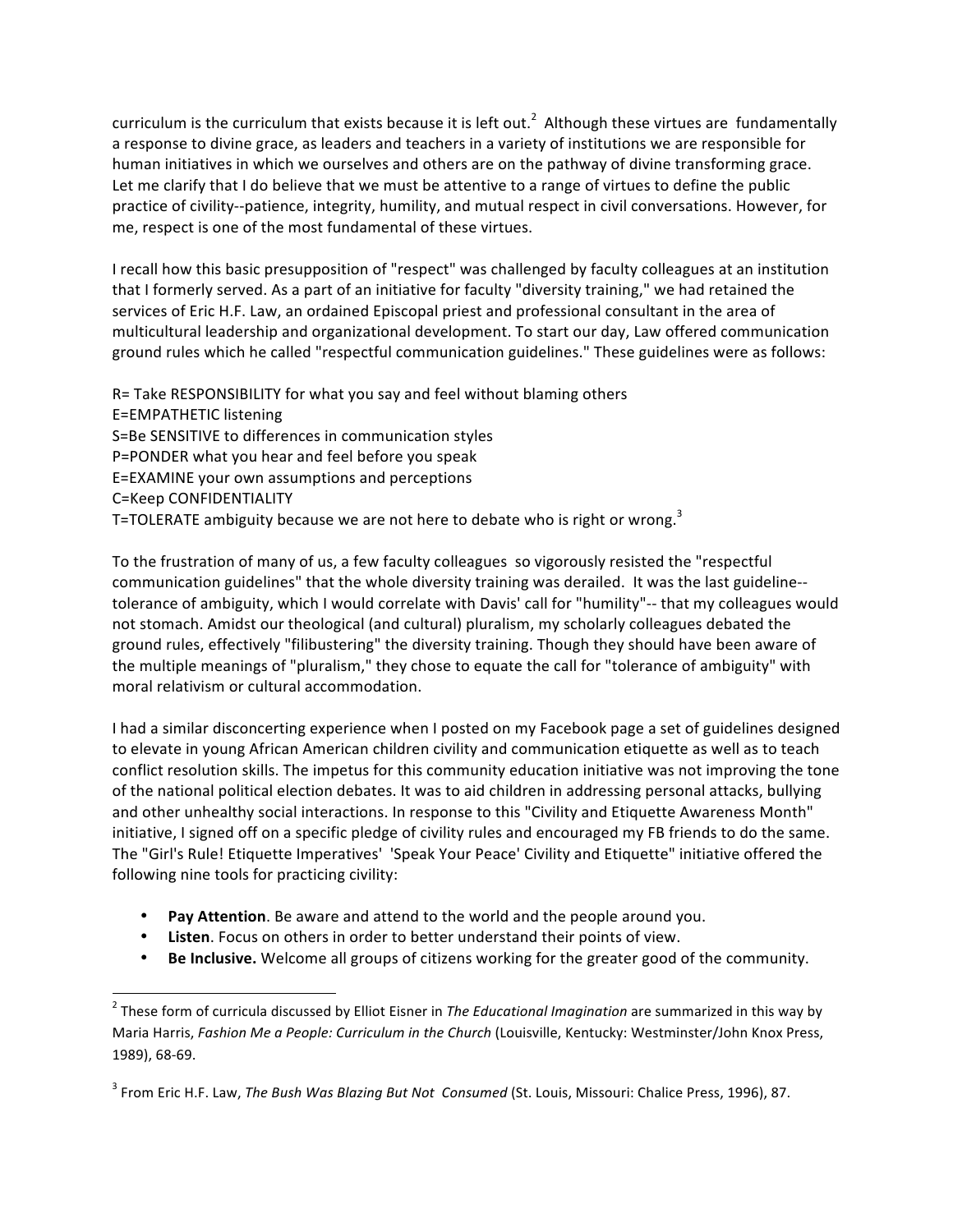curriculum is the curriculum that exists because it is left out.<sup>2</sup> Although these virtues are fundamentally a response to divine grace, as leaders and teachers in a variety of institutions we are responsible for human initiatives in which we ourselves and others are on the pathway of divine transforming grace. Let me clarify that I do believe that we must be attentive to a range of virtues to define the public practice of civility--patience, integrity, humility, and mutual respect in civil conversations. However, for me,
respect
is
one
of
the
most
fundamental
of
these
virtues.

I recall how this basic presupposition of "respect" was challenged by faculty colleagues at an institution that I formerly served. As a part of an initiative for faculty "diversity training," we had retained the services of Eric H.F. Law, an ordained Episcopal priest and professional consultant in the area of multicultural leadership and organizational development. To start our day, Law offered communication ground rules which he called "respectful communication guidelines." These guidelines were as follows:

R = Take RESPONSIBILITY for what you say and feel without blaming others

- E=EMPATHETIC
listening
- S=Be
SENSITIVE
to
differences
in
communication
styles
- P=PONDER
what
you
hear
and
feel
before
you
speak
- E=EXAMINE
your
own
assumptions
and
perceptions
- C=Keep
CONFIDENTIALITY
- T=TOLERATE ambiguity because we are not here to debate who is right or wrong.<sup>3</sup>

To the frustration of many of us, a few faculty colleagues so vigorously resisted the "respectful" communication guidelines" that the whole diversity training was derailed. It was the last guideline-tolerance of ambiguity, which I would correlate with Davis' call for "humility"-- that my colleagues would not stomach. Amidst our theological (and cultural) pluralism, my scholarly colleagues debated the ground rules, effectively "filibustering" the diversity training. Though they should have been aware of the multiple meanings of "pluralism," they chose to equate the call for "tolerance of ambiguity" with moral relativism or cultural accommodation.

I had a similar disconcerting experience when I posted on my Facebook page a set of guidelines designed to elevate in young African American children civility and communication etiquette as well as to teach conflict resolution skills. The impetus for this community education initiative was not improving the tone of
the
national
political
election
debates.
It
was
to
aid
children
in
addressing
personal
attacks,
bullying and other unhealthy social interactions. In response to this "Civility and Etiquette Awareness Month" initiative, I signed off on a specific pledge of civility rules and encouraged my FB friends to do the same. The "Girl's Rule! Etiquette Imperatives' 'Speak Your Peace' Civility and Etiquette" initiative offered the following
nine
tools
for
practicing
civility:

- Pay Attention. Be aware and attend to the world and the people around you.
- Listen. Focus on others in order to better understand their points of view.
- Be Inclusive. Welcome all groups of citizens working for the greater good of the community.

 2 These
form
of
curricula
discussed
by
Elliot
Eisner
in *The
Educational
Imagination*are
summarized
in
this
way
by Maria Harris, Fashion Me a People: Curriculum in the Church (Louisville, Kentucky: Westminster/John Knox Press, 1989),
68‐69.

<sup>&</sup>lt;sup>3</sup> From Eric H.F. Law, The Bush Was Blazing But Not Consumed (St. Louis, Missouri: Chalice Press, 1996), 87.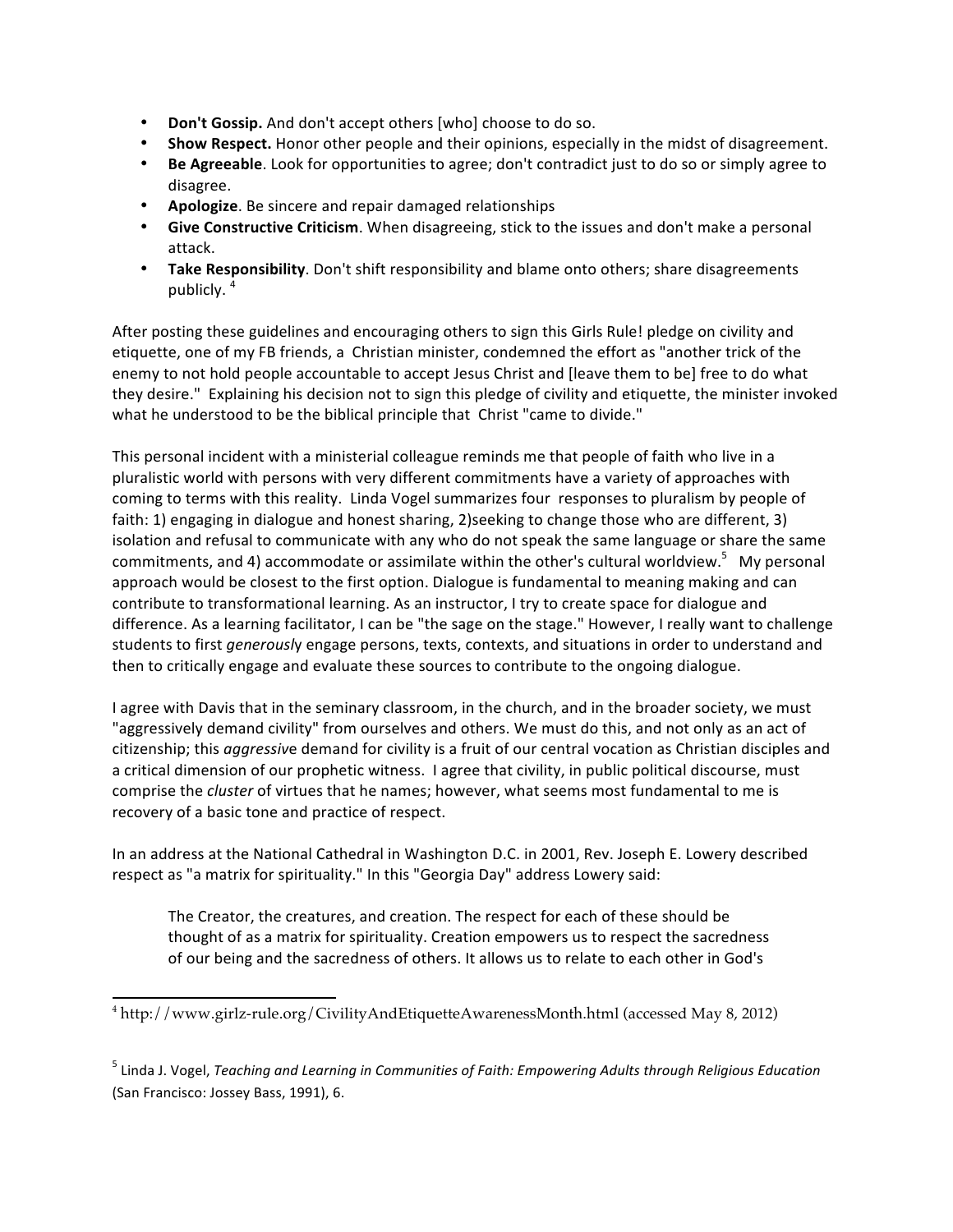- Don't Gossip. And don't accept others [who] choose to do so.
- Show Respect. Honor other people and their opinions, especially in the midst of disagreement.
- Be Agreeable. Look for opportunities to agree; don't contradict just to do so or simply agree to disagree.
- **Apologize**. Be sincere and repair damaged relationships
- **Give Constructive Criticism**. When disagreeing, stick to the issues and don't make a personal attack.
- Take Responsibility. Don't shift responsibility and blame onto others; share disagreements publicly. <sup>4</sup>

After posting these guidelines and encouraging others to sign this Girls Rule! pledge on civility and etiquette, one of my FB friends, a Christian minister, condemned the effort as "another trick of the enemy to not hold people accountable to accept Jesus Christ and [leave them to be] free to do what they desire." Explaining his decision not to sign this pledge of civility and etiquette, the minister invoked what he understood to be the biblical principle that Christ "came to divide."

This personal incident with a ministerial colleague reminds me that people of faith who live in a pluralistic world with persons with very different commitments have a variety of approaches with coming to terms with this reality. Linda Vogel summarizes four responses to pluralism by people of faith: 1) engaging in dialogue and honest sharing, 2) seeking to change those who are different, 3) isolation and refusal to communicate with any who do not speak the same language or share the same commitments, and 4) accommodate or assimilate within the other's cultural worldview.<sup>5</sup> My personal approach would be closest to the first option. Dialogue is fundamental to meaning making and can contribute
to
transformational
learning.
As
an
instructor,
I
try
to
create
space
for
dialogue
and difference. As a learning facilitator, I can be "the sage on the stage." However, I really want to challenge students to first *generously* engage persons, texts, contexts, and situations in order to understand and then to critically engage and evaluate these sources to contribute to the ongoing dialogue.

I agree with Davis that in the seminary classroom, in the church, and in the broader society, we must "aggressively demand civility" from ourselves and others. We must do this, and not only as an act of citizenship; this *aggressiv*e demand for civility is a fruit of our central vocation as Christian disciples and a critical dimension of our prophetic witness. I agree that civility, in public political discourse, must comprise the *cluster* of virtues that he names; however, what seems most fundamental to me is recovery
of
a
basic
tone
and
practice
of
respect.

In an address at the National Cathedral in Washington D.C. in 2001, Rev. Joseph E. Lowery described respect as "a matrix for spirituality." In this "Georgia Day" address Lowery said:

The Creator, the creatures, and creation. The respect for each of these should be thought of as a matrix for spirituality. Creation empowers us to respect the sacredness of our being and the sacredness of others. It allows us to relate to each other in God's

<sup>&</sup>lt;u> 1989 - Johann Stein, fransk politik (d. 1989)</u> <sup>4</sup> http://www.girlz-rule.org/CivilityAndEtiquetteAwarenessMonth.html (accessed May 8, 2012)

<sup>&</sup>lt;sup>5</sup> Linda J. Vogel, *Teaching and Learning in Communities of Faith: Empowering Adults through Religious Education* (San
Francisco:
Jossey
Bass,
1991),
6.